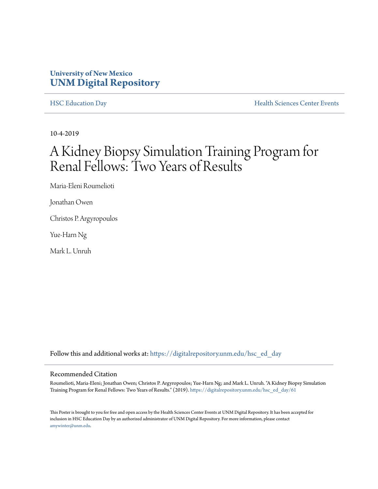#### **University of New Mexico [UNM Digital Repository](https://digitalrepository.unm.edu/?utm_source=digitalrepository.unm.edu%2Fhsc_ed_day%2F61&utm_medium=PDF&utm_campaign=PDFCoverPages)**

[HSC Education Day](https://digitalrepository.unm.edu/hsc_ed_day?utm_source=digitalrepository.unm.edu%2Fhsc_ed_day%2F61&utm_medium=PDF&utm_campaign=PDFCoverPages) **[Health Sciences Center Events](https://digitalrepository.unm.edu/hsc_events?utm_source=digitalrepository.unm.edu%2Fhsc_ed_day%2F61&utm_medium=PDF&utm_campaign=PDFCoverPages)** 

10-4-2019

#### A Kidney Biopsy Simulation Training Program for Renal Fellows: Two Years of Results

Maria-Eleni Roumelioti

Jonathan Owen

Christos P. Argyropoulos

Yue-Harn Ng

Mark L. Unruh

Follow this and additional works at: [https://digitalrepository.unm.edu/hsc\\_ed\\_day](https://digitalrepository.unm.edu/hsc_ed_day?utm_source=digitalrepository.unm.edu%2Fhsc_ed_day%2F61&utm_medium=PDF&utm_campaign=PDFCoverPages)

#### Recommended Citation

Roumelioti, Maria-Eleni; Jonathan Owen; Christos P. Argyropoulos; Yue-Harn Ng; and Mark L. Unruh. "A Kidney Biopsy Simulation Training Program for Renal Fellows: Two Years of Results." (2019). [https://digitalrepository.unm.edu/hsc\\_ed\\_day/61](https://digitalrepository.unm.edu/hsc_ed_day/61?utm_source=digitalrepository.unm.edu%2Fhsc_ed_day%2F61&utm_medium=PDF&utm_campaign=PDFCoverPages)

This Poster is brought to you for free and open access by the Health Sciences Center Events at UNM Digital Repository. It has been accepted for inclusion in HSC Education Day by an authorized administrator of UNM Digital Repository. For more information, please contact [amywinter@unm.edu](mailto:amywinter@unm.edu).